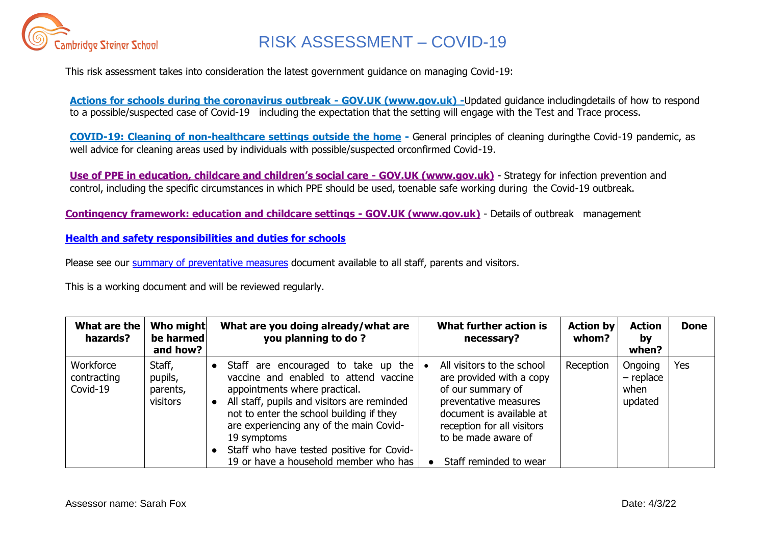

This risk assessment takes into consideration the latest government guidance on managing Covid-19:

**[Actions for schools during the coronavirus outbreak -](https://www.gov.uk/government/publications/actions-for-schools-during-the-coronavirus-outbreak) GOV.UK (www.gov.uk) -**Updated guidance includingdetails of how to respond to a possible/suspected case of Covid-19 including the expectation that the setting will engage with the Test and Trace process.

**[COVID-19: Cleaning of non-healthcare settings outside the home](https://www.gov.uk/government/publications/covid-19-decontamination-in-non-healthcare-settings/covid-19-decontamination-in-non-healthcare-settings) -** General principles of cleaning duringthe Covid-19 pandemic, as well advice for cleaning areas used by individuals with possible/suspected orconfirmed Covid-19.

**[Use of PPE in education, childcare and children's social care](https://www.gov.uk/government/publications/safe-working-in-education-childcare-and-childrens-social-care) - GOV.UK (www.gov.uk)** - Strategy for infection prevention and control, including the specific circumstances in which PPE should be used, toenable safe working during the Covid-19 outbreak.

**[Contingency framework: education and childcare settings -](https://www.gov.uk/government/publications/coronavirus-covid-19-local-restrictions-in-education-and-childcare-settings/contingency-framework-education-and-childcare-settings) GOV.UK (www.gov.uk)** - Details of outbreak management

**[Health and safety responsibilities and duties for schools](https://www.gov.uk/government/publications/health-and-safety-advice-for-schools/responsibilities-and-duties-for-schools)**

Please see our [summary of preventative measures](https://drive.google.com/file/d/1fuK_QUf-_7M-PYsScnKboqyXdmovbWEc/view?usp=sharing) document available to all staff, parents and visitors.

This is a working document and will be reviewed regularly.

| What are the<br>hazards?             | Who might<br>be harmed<br>and how?        | What are you doing already/what are<br>you planning to do?                                                                                                                                                                                                                                                                                               |           | What further action is<br>necessary?                                                                                                                                                                            | <b>Action by</b><br>whom? | <b>Action</b><br>by<br>when?              | <b>Done</b> |
|--------------------------------------|-------------------------------------------|----------------------------------------------------------------------------------------------------------------------------------------------------------------------------------------------------------------------------------------------------------------------------------------------------------------------------------------------------------|-----------|-----------------------------------------------------------------------------------------------------------------------------------------------------------------------------------------------------------------|---------------------------|-------------------------------------------|-------------|
| Workforce<br>contracting<br>Covid-19 | Staff,<br>pupils,<br>parents,<br>visitors | Staff are encouraged to take up the<br>vaccine and enabled to attend vaccine<br>appointments where practical.<br>All staff, pupils and visitors are reminded<br>not to enter the school building if they<br>are experiencing any of the main Covid-<br>19 symptoms<br>Staff who have tested positive for Covid-<br>19 or have a household member who has | $\bullet$ | All visitors to the school<br>are provided with a copy<br>of our summary of<br>preventative measures<br>document is available at<br>reception for all visitors<br>to be made aware of<br>Staff reminded to wear | Reception                 | Ongoing<br>$-$ replace<br>when<br>updated | Yes         |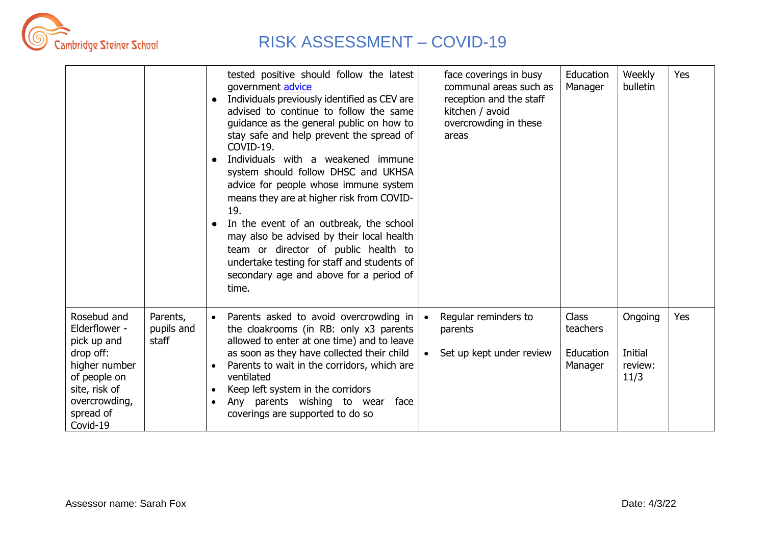

|                                                                                                                                                      |                                 | tested positive should follow the latest<br>government advice<br>Individuals previously identified as CEV are<br>advised to continue to follow the same<br>guidance as the general public on how to<br>stay safe and help prevent the spread of<br>COVID-19.<br>Individuals with a weakened immune<br>$\bullet$<br>system should follow DHSC and UKHSA<br>advice for people whose immune system<br>means they are at higher risk from COVID-<br>19.<br>In the event of an outbreak, the school<br>may also be advised by their local health<br>team or director of public health to<br>undertake testing for staff and students of<br>secondary age and above for a period of<br>time. | face coverings in busy<br>communal areas such as<br>reception and the staff<br>kitchen / avoid<br>overcrowding in these<br>areas | Education<br>Manager                             | Weekly<br>bulletin                    | Yes |
|------------------------------------------------------------------------------------------------------------------------------------------------------|---------------------------------|----------------------------------------------------------------------------------------------------------------------------------------------------------------------------------------------------------------------------------------------------------------------------------------------------------------------------------------------------------------------------------------------------------------------------------------------------------------------------------------------------------------------------------------------------------------------------------------------------------------------------------------------------------------------------------------|----------------------------------------------------------------------------------------------------------------------------------|--------------------------------------------------|---------------------------------------|-----|
| Rosebud and<br>Elderflower -<br>pick up and<br>drop off:<br>higher number<br>of people on<br>site, risk of<br>overcrowding,<br>spread of<br>Covid-19 | Parents,<br>pupils and<br>staff | Parents asked to avoid overcrowding in<br>$\bullet$<br>the cloakrooms (in RB: only x3 parents<br>allowed to enter at one time) and to leave<br>as soon as they have collected their child<br>Parents to wait in the corridors, which are<br>ventilated<br>Keep left system in the corridors<br>$\bullet$<br>Any parents wishing to wear<br>face<br>coverings are supported to do so                                                                                                                                                                                                                                                                                                    | Regular reminders to<br>parents<br>Set up kept under review                                                                      | <b>Class</b><br>teachers<br>Education<br>Manager | Ongoing<br>Initial<br>review:<br>11/3 | Yes |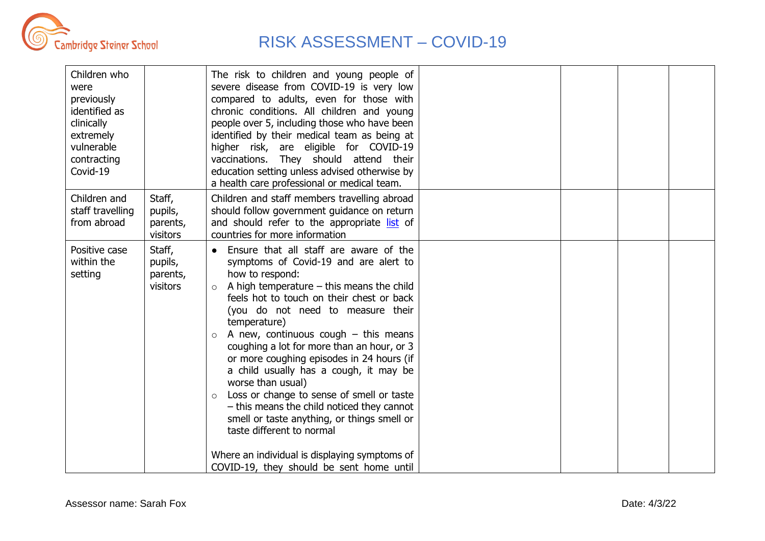

| Children who<br>were<br>previously<br>identified as<br>clinically<br>extremely<br>vulnerable<br>contracting<br>Covid-19 |                                           | The risk to children and young people of<br>severe disease from COVID-19 is very low<br>compared to adults, even for those with<br>chronic conditions. All children and young<br>people over 5, including those who have been<br>identified by their medical team as being at<br>higher risk, are eligible for COVID-19<br>vaccinations. They should attend their<br>education setting unless advised otherwise by<br>a health care professional or medical team.                                                                                                                                                                                                                                                                                              |  |  |
|-------------------------------------------------------------------------------------------------------------------------|-------------------------------------------|----------------------------------------------------------------------------------------------------------------------------------------------------------------------------------------------------------------------------------------------------------------------------------------------------------------------------------------------------------------------------------------------------------------------------------------------------------------------------------------------------------------------------------------------------------------------------------------------------------------------------------------------------------------------------------------------------------------------------------------------------------------|--|--|
| Children and<br>staff travelling<br>from abroad                                                                         | Staff,<br>pupils,<br>parents,<br>visitors | Children and staff members travelling abroad<br>should follow government guidance on return<br>and should refer to the appropriate list of<br>countries for more information                                                                                                                                                                                                                                                                                                                                                                                                                                                                                                                                                                                   |  |  |
| Positive case<br>within the<br>setting                                                                                  | Staff,<br>pupils,<br>parents,<br>visitors | • Ensure that all staff are aware of the<br>symptoms of Covid-19 and are alert to<br>how to respond:<br>A high temperature $-$ this means the child<br>$\circ$<br>feels hot to touch on their chest or back<br>(you do not need to measure their<br>temperature)<br>A new, continuous cough $-$ this means<br>$\circ$<br>coughing a lot for more than an hour, or 3<br>or more coughing episodes in 24 hours (if<br>a child usually has a cough, it may be<br>worse than usual)<br>Loss or change to sense of smell or taste<br>$\circ$<br>- this means the child noticed they cannot<br>smell or taste anything, or things smell or<br>taste different to normal<br>Where an individual is displaying symptoms of<br>COVID-19, they should be sent home until |  |  |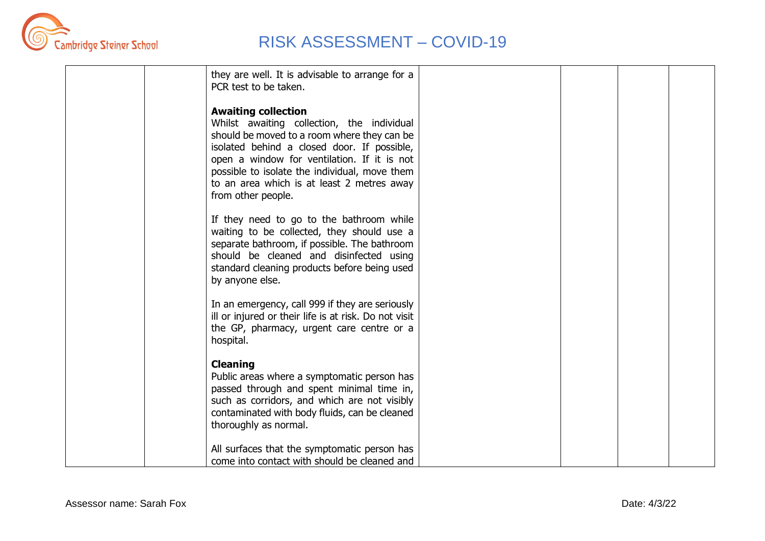

|  | they are well. It is advisable to arrange for a<br>PCR test to be taken.                                                                                                                                                                                                                                                                   |  |  |
|--|--------------------------------------------------------------------------------------------------------------------------------------------------------------------------------------------------------------------------------------------------------------------------------------------------------------------------------------------|--|--|
|  | <b>Awaiting collection</b><br>Whilst awaiting collection, the individual<br>should be moved to a room where they can be<br>isolated behind a closed door. If possible,<br>open a window for ventilation. If it is not<br>possible to isolate the individual, move them<br>to an area which is at least 2 metres away<br>from other people. |  |  |
|  | If they need to go to the bathroom while<br>waiting to be collected, they should use a<br>separate bathroom, if possible. The bathroom<br>should be cleaned and disinfected using<br>standard cleaning products before being used<br>by anyone else.                                                                                       |  |  |
|  | In an emergency, call 999 if they are seriously<br>ill or injured or their life is at risk. Do not visit<br>the GP, pharmacy, urgent care centre or a<br>hospital.                                                                                                                                                                         |  |  |
|  | <b>Cleaning</b><br>Public areas where a symptomatic person has<br>passed through and spent minimal time in,<br>such as corridors, and which are not visibly<br>contaminated with body fluids, can be cleaned<br>thoroughly as normal.                                                                                                      |  |  |
|  | All surfaces that the symptomatic person has<br>come into contact with should be cleaned and                                                                                                                                                                                                                                               |  |  |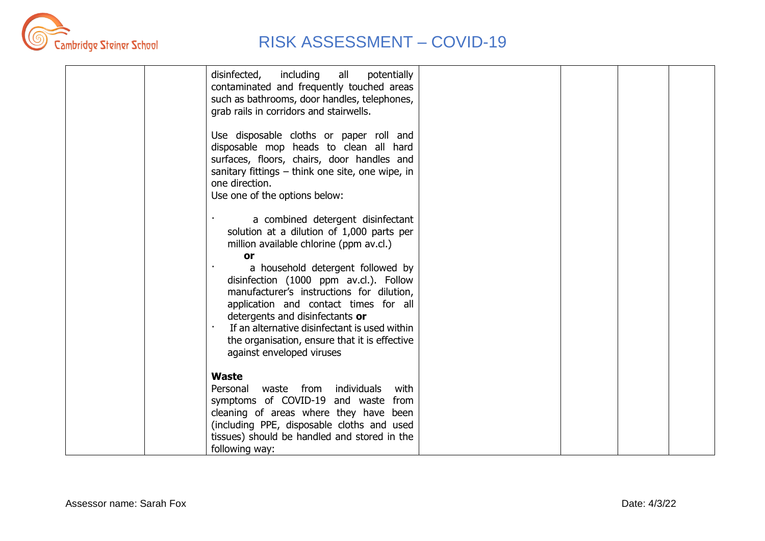

| disinfected,<br>including<br>all<br>potentially<br>contaminated and frequently touched areas<br>such as bathrooms, door handles, telephones,<br>grab rails in corridors and stairwells.                                                                                                                                             |  |  |
|-------------------------------------------------------------------------------------------------------------------------------------------------------------------------------------------------------------------------------------------------------------------------------------------------------------------------------------|--|--|
| Use disposable cloths or paper roll and<br>disposable mop heads to clean all hard<br>surfaces, floors, chairs, door handles and<br>sanitary fittings $-$ think one site, one wipe, in<br>one direction.<br>Use one of the options below:                                                                                            |  |  |
| a combined detergent disinfectant<br>solution at a dilution of 1,000 parts per<br>million available chlorine (ppm av.cl.)<br>or                                                                                                                                                                                                     |  |  |
| a household detergent followed by<br>disinfection (1000 ppm av.cl.). Follow<br>manufacturer's instructions for dilution,<br>application and contact times for all<br>detergents and disinfectants or<br>If an alternative disinfectant is used within<br>the organisation, ensure that it is effective<br>against enveloped viruses |  |  |
| <b>Waste</b><br>waste from individuals<br>with<br>Personal<br>symptoms of COVID-19 and waste from<br>cleaning of areas where they have been<br>(including PPE, disposable cloths and used<br>tissues) should be handled and stored in the<br>following way:                                                                         |  |  |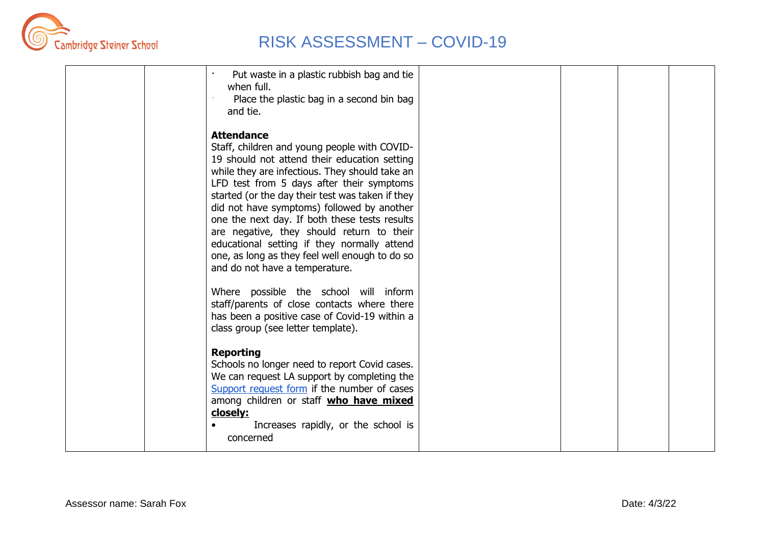

| Put waste in a plastic rubbish bag and tie<br>when full.<br>Place the plastic bag in a second bin bag<br>and tie.                                                                                                                                                                                                                                                                                                                                                                                                                                   |  |  |
|-----------------------------------------------------------------------------------------------------------------------------------------------------------------------------------------------------------------------------------------------------------------------------------------------------------------------------------------------------------------------------------------------------------------------------------------------------------------------------------------------------------------------------------------------------|--|--|
| <b>Attendance</b><br>Staff, children and young people with COVID-<br>19 should not attend their education setting<br>while they are infectious. They should take an<br>LFD test from 5 days after their symptoms<br>started (or the day their test was taken if they<br>did not have symptoms) followed by another<br>one the next day. If both these tests results<br>are negative, they should return to their<br>educational setting if they normally attend<br>one, as long as they feel well enough to do so<br>and do not have a temperature. |  |  |
| Where possible the school will inform<br>staff/parents of close contacts where there<br>has been a positive case of Covid-19 within a<br>class group (see letter template).                                                                                                                                                                                                                                                                                                                                                                         |  |  |
| <b>Reporting</b><br>Schools no longer need to report Covid cases.<br>We can request LA support by completing the<br>Support request form if the number of cases<br>among children or staff who have mixed<br>closely:<br>Increases rapidly, or the school is<br>concerned                                                                                                                                                                                                                                                                           |  |  |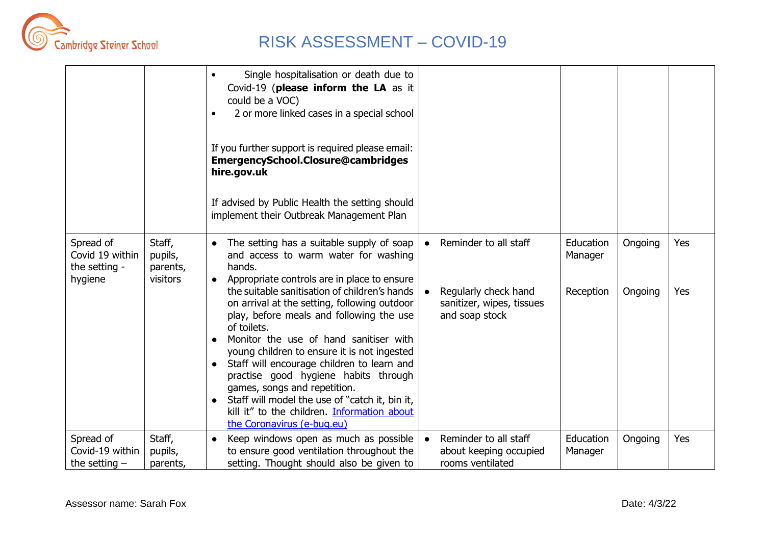

|                                                          |                                           | Single hospitalisation or death due to<br>$\bullet$<br>Covid-19 (please inform the LA as it<br>could be a VOC)<br>2 or more linked cases in a special school<br>$\bullet$<br>If you further support is required please email:<br>EmergencySchool.Closure@cambridges<br>hire.gov.uk<br>If advised by Public Health the setting should<br>implement their Outbreak Management Plan                                                                                                                                                                                                                                                                                               |           |                                                                                              |                                   |                    |            |
|----------------------------------------------------------|-------------------------------------------|--------------------------------------------------------------------------------------------------------------------------------------------------------------------------------------------------------------------------------------------------------------------------------------------------------------------------------------------------------------------------------------------------------------------------------------------------------------------------------------------------------------------------------------------------------------------------------------------------------------------------------------------------------------------------------|-----------|----------------------------------------------------------------------------------------------|-----------------------------------|--------------------|------------|
| Spread of<br>Covid 19 within<br>the setting -<br>hygiene | Staff,<br>pupils,<br>parents,<br>visitors | The setting has a suitable supply of soap<br>$\bullet$<br>and access to warm water for washing<br>hands.<br>Appropriate controls are in place to ensure<br>$\bullet$<br>the suitable sanitisation of children's hands<br>on arrival at the setting, following outdoor<br>play, before meals and following the use<br>of toilets.<br>Monitor the use of hand sanitiser with<br>young children to ensure it is not ingested<br>Staff will encourage children to learn and<br>practise good hygiene habits through<br>games, songs and repetition.<br>Staff will model the use of "catch it, bin it,<br>kill it" to the children. Information about<br>the Coronavirus (e-bug.eu) | $\bullet$ | Reminder to all staff<br>Regularly check hand<br>sanitizer, wipes, tissues<br>and soap stock | Education<br>Manager<br>Reception | Ongoing<br>Ongoing | Yes<br>Yes |
| Spread of<br>Covid-19 within<br>the setting $-$          | Staff,<br>pupils,<br>parents,             | Keep windows open as much as possible<br>$\bullet$<br>to ensure good ventilation throughout the<br>setting. Thought should also be given to                                                                                                                                                                                                                                                                                                                                                                                                                                                                                                                                    |           | Reminder to all staff<br>about keeping occupied<br>rooms ventilated                          | Education<br>Manager              | Ongoing            | Yes        |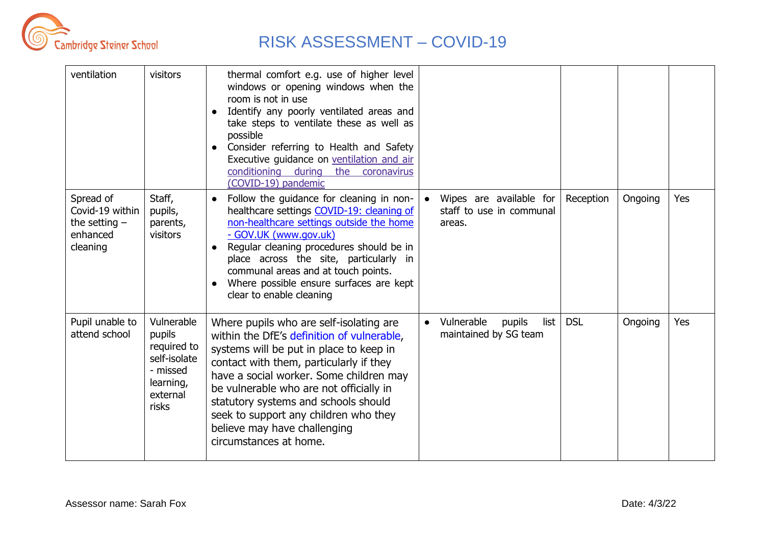

| ventilation                                                             | visitors                                                                                          | thermal comfort e.g. use of higher level<br>windows or opening windows when the<br>room is not in use<br>Identify any poorly ventilated areas and<br>take steps to ventilate these as well as<br>possible<br>Consider referring to Health and Safety<br>Executive guidance on ventilation and air<br>conditioning during<br>the coronavirus<br>(COVID-19) pandemic                                           |                                                               |            |         |     |
|-------------------------------------------------------------------------|---------------------------------------------------------------------------------------------------|--------------------------------------------------------------------------------------------------------------------------------------------------------------------------------------------------------------------------------------------------------------------------------------------------------------------------------------------------------------------------------------------------------------|---------------------------------------------------------------|------------|---------|-----|
| Spread of<br>Covid-19 within<br>the setting $-$<br>enhanced<br>cleaning | Staff,<br>pupils,<br>parents,<br>visitors                                                         | Follow the guidance for cleaning in non-<br>$\bullet$<br>healthcare settings COVID-19: cleaning of<br>non-healthcare settings outside the home<br>- GOV.UK (www.gov.uk)<br>Regular cleaning procedures should be in<br>$\bullet$<br>place across the site, particularly in<br>communal areas and at touch points.<br>Where possible ensure surfaces are kept<br>clear to enable cleaning                     | Wipes are available for<br>staff to use in communal<br>areas. | Reception  | Ongoing | Yes |
| Pupil unable to<br>attend school                                        | Vulnerable<br>pupils<br>required to<br>self-isolate<br>- missed<br>learning,<br>external<br>risks | Where pupils who are self-isolating are<br>within the DfE's definition of vulnerable,<br>systems will be put in place to keep in<br>contact with them, particularly if they<br>have a social worker. Some children may<br>be vulnerable who are not officially in<br>statutory systems and schools should<br>seek to support any children who they<br>believe may have challenging<br>circumstances at home. | Vulnerable<br>list<br>pupils<br>maintained by SG team         | <b>DSL</b> | Ongoing | Yes |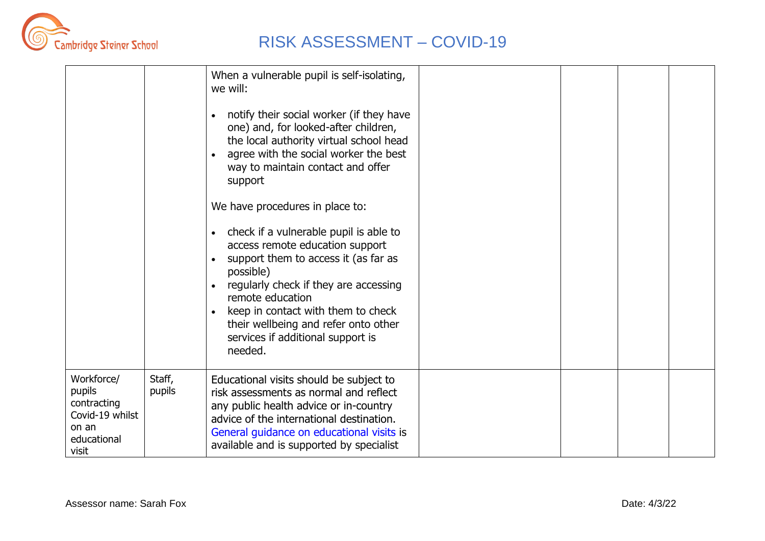

|                                                                                         |                  | When a vulnerable pupil is self-isolating,<br>we will:<br>notify their social worker (if they have<br>one) and, for looked-after children,<br>the local authority virtual school head<br>agree with the social worker the best<br>way to maintain contact and offer<br>support<br>We have procedures in place to:<br>check if a vulnerable pupil is able to<br>access remote education support<br>support them to access it (as far as<br>possible)<br>regularly check if they are accessing<br>remote education<br>keep in contact with them to check<br>their wellbeing and refer onto other<br>services if additional support is<br>needed. |  |  |
|-----------------------------------------------------------------------------------------|------------------|------------------------------------------------------------------------------------------------------------------------------------------------------------------------------------------------------------------------------------------------------------------------------------------------------------------------------------------------------------------------------------------------------------------------------------------------------------------------------------------------------------------------------------------------------------------------------------------------------------------------------------------------|--|--|
| Workforce/<br>pupils<br>contracting<br>Covid-19 whilst<br>on an<br>educational<br>visit | Staff,<br>pupils | Educational visits should be subject to<br>risk assessments as normal and reflect<br>any public health advice or in-country<br>advice of the international destination.<br>General guidance on educational visits is<br>available and is supported by specialist                                                                                                                                                                                                                                                                                                                                                                               |  |  |